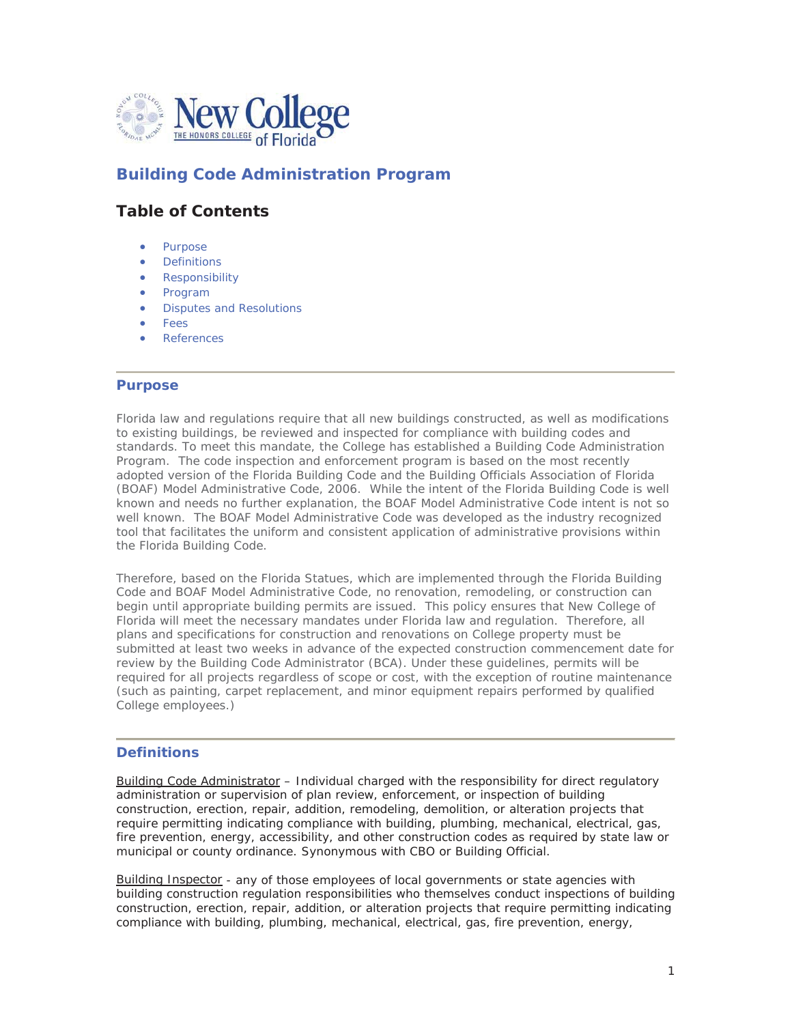

# **Building Code Administration Program**

# **Table of Contents**

- Purpose
- **•** Definitions
- Responsibility
- Program
- Disputes and Resolutions
- **Fees**
- **References**

#### **Purpose**

Florida law and regulations require that all new buildings constructed, as well as modifications to existing buildings, be reviewed and inspected for compliance with building codes and standards. To meet this mandate, the College has established a Building Code Administration Program. The code inspection and enforcement program is based on the most recently adopted version of the Florida Building Code and the Building Officials Association of Florida (BOAF) Model Administrative Code, 2006. While the intent of the Florida Building Code is well known and needs no further explanation, the BOAF Model Administrative Code intent is not so well known. The BOAF Model Administrative Code was developed as the industry recognized tool that facilitates the uniform and consistent application of administrative provisions within the Florida Building Code.

Therefore, based on the Florida Statues, which are implemented through the Florida Building Code and BOAF Model Administrative Code, no renovation, remodeling, or construction can begin until appropriate building permits are issued. This policy ensures that New College of Florida will meet the necessary mandates under Florida law and regulation. Therefore, all plans and specifications for construction and renovations on College property must be submitted at least two weeks in advance of the expected construction commencement date for review by the Building Code Administrator (BCA). Under these guidelines, p*ermits will be required for all projects regardless of scope or cos*t, with the exception of routine maintenance (such as painting, carpet replacement, and minor equipment repairs performed by qualified College employees.)

#### **Definitions**

Building Code Administrator – Individual charged with the responsibility for direct regulatory administration or supervision of plan review, enforcement, or inspection of building construction, erection, repair, addition, remodeling, demolition, or alteration projects that require permitting indicating compliance with building, plumbing, mechanical, electrical, gas, fire prevention, energy, accessibility, and other construction codes as required by state law or municipal or county ordinance. Synonymous with CBO or Building Official.

Building Inspector - any of those employees of local governments or state agencies with building construction regulation responsibilities who themselves conduct inspections of building construction, erection, repair, addition, or alteration projects that require permitting indicating compliance with building, plumbing, mechanical, electrical, gas, fire prevention, energy,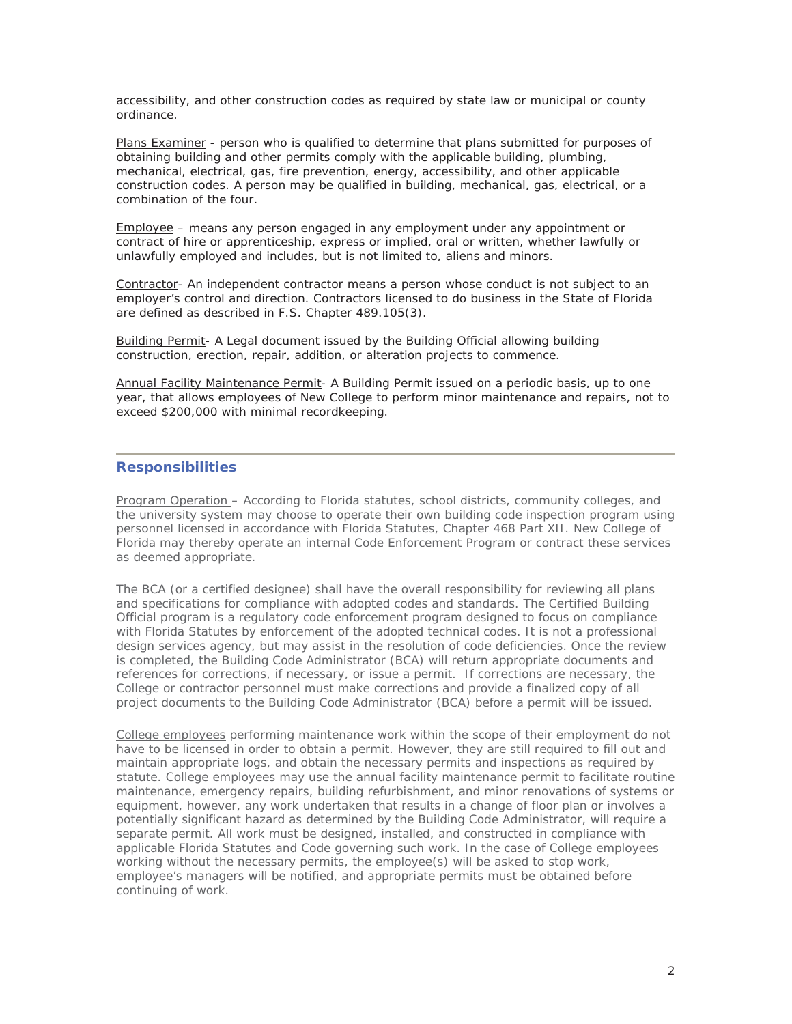accessibility, and other construction codes as required by state law or municipal or county ordinance.

Plans Examiner - person who is qualified to determine that plans submitted for purposes of obtaining building and other permits comply with the applicable building, plumbing, mechanical, electrical, gas, fire prevention, energy, accessibility, and other applicable construction codes. A person may be qualified in building, mechanical, gas, electrical, or a combination of the four.

Employee – means any person engaged in any employment under any appointment or contract of hire or apprenticeship, express or implied, oral or written, whether lawfully or unlawfully employed and includes, but is not limited to, aliens and minors.

Contractor- An independent contractor means a person whose conduct is not subject to an employer's control and direction. Contractors licensed to do business in the State of Florida are defined as described in F.S. Chapter 489.105(3).

Building Permit- A Legal document issued by the Building Official allowing building construction, erection, repair, addition, or alteration projects to commence.

Annual Facility Maintenance Permit- A Building Permit issued on a periodic basis, up to one year, that allows employees of New College to perform minor maintenance and repairs, not to exceed \$200,000 with minimal recordkeeping.

#### **Responsibilities**

Program Operation – According to Florida statutes, school districts, community colleges, and the university system may choose to operate their own building code inspection program using personnel licensed in accordance with Florida Statutes, Chapter 468 Part XII. New College of Florida may thereby operate an internal Code Enforcement Program or contract these services as deemed appropriate.

The BCA (or a certified designee) shall have the overall responsibility for reviewing all plans and specifications for compliance with adopted codes and standards. The Certified Building Official program is a regulatory code enforcement program designed to focus on compliance with Florida Statutes by enforcement of the adopted technical codes. It is not a professional design services agency, but may assist in the resolution of code deficiencies. Once the review is completed, the Building Code Administrator (BCA) will return appropriate documents and references for corrections, if necessary, or issue a permit. If corrections are necessary, the College or contractor personnel must make corrections and provide a finalized copy of all project documents to the Building Code Administrator (BCA) before a permit will be issued.

College employees performing maintenance work within the scope of their employment do not have to be licensed in order to obtain a permit. However, they are still required to fill out and maintain appropriate logs, and obtain the necessary permits and inspections as required by statute. College employees may use the annual facility maintenance permit to facilitate routine maintenance, emergency repairs, building refurbishment, and minor renovations of systems or equipment, however, any work undertaken that results in a change of floor plan or involves a potentially significant hazard as determined by the Building Code Administrator, will require a separate permit. All work must be designed, installed, and constructed in compliance with applicable Florida Statutes and Code governing such work. In the case of College employees working without the necessary permits, the employee(s) will be asked to stop work, employee's managers will be notified, and appropriate permits must be obtained before continuing of work.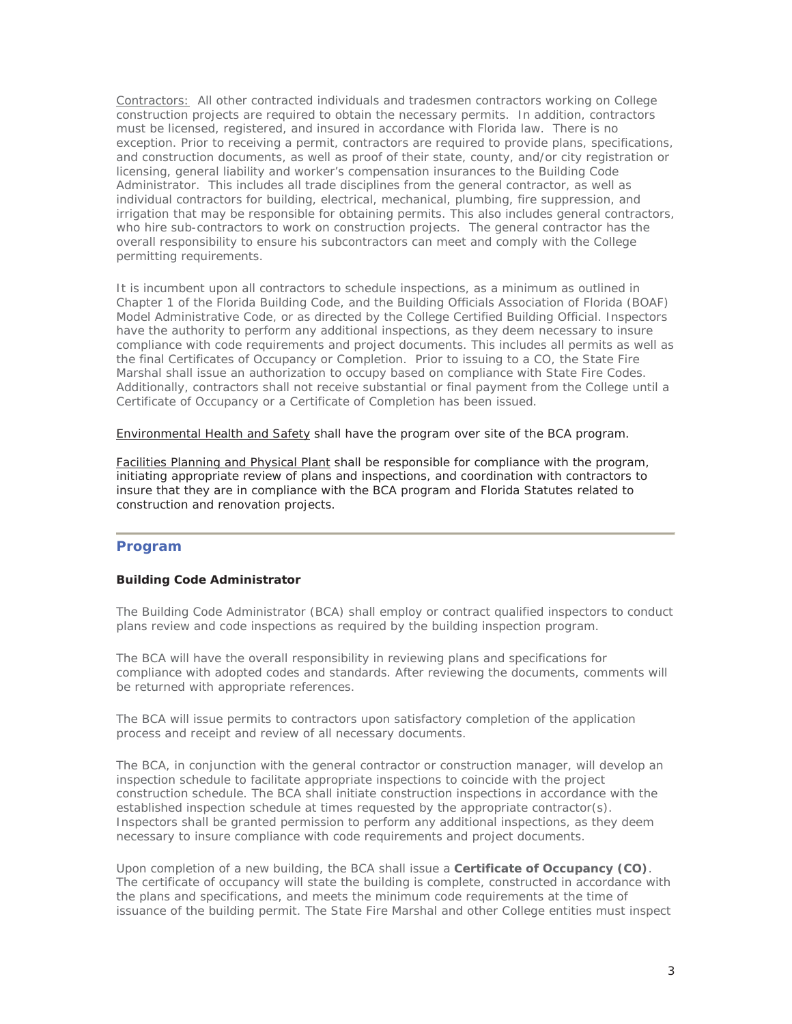Contractors: All other contracted individuals and tradesmen contractors working on College construction projects are required to obtain the necessary permits. In addition, contractors must be licensed, registered, and insured in accordance with Florida law. There is no exception. Prior to receiving a permit, contractors are required to provide plans, specifications, and construction documents, as well as proof of their state, county, and/or city registration or licensing, general liability and worker's compensation insurances to the Building Code Administrator. This includes all trade disciplines from the general contractor, as well as individual contractors for building, electrical, mechanical, plumbing, fire suppression, and irrigation that may be responsible for obtaining permits. This also includes general contractors, who hire sub-contractors to work on construction projects. The general contractor has the overall responsibility to ensure his subcontractors can meet and comply with the College permitting requirements.

It is incumbent upon all contractors to schedule inspections, as a minimum as outlined in Chapter 1 of the Florida Building Code, and the Building Officials Association of Florida (BOAF) Model Administrative Code, or as directed by the College Certified Building Official. Inspectors have the authority to perform any additional inspections, as they deem necessary to insure compliance with code requirements and project documents. This includes all permits as well as the final Certificates of Occupancy or Completion. Prior to issuing to a CO, the State Fire Marshal shall issue an authorization to occupy based on compliance with State Fire Codes. Additionally, contractors shall not receive substantial or final payment from the College until a Certificate of Occupancy or a Certificate of Completion has been issued.

Environmental Health and Safety shall have the program over site of the BCA program.

Facilities Planning and Physical Plant shall be responsible for compliance with the program, initiating appropriate review of plans and inspections, and coordination with contractors to insure that they are in compliance with the BCA program and Florida Statutes related to construction and renovation projects.

## **Program**

#### **Building Code Administrator**

The Building Code Administrator (BCA) shall employ or contract qualified inspectors to conduct plans review and code inspections as required by the building inspection program.

The BCA will have the overall responsibility in reviewing plans and specifications for compliance with adopted codes and standards. After reviewing the documents, comments will be returned with appropriate references.

The BCA will issue permits to contractors upon satisfactory completion of the application process and receipt and review of all necessary documents.

The BCA, in conjunction with the general contractor or construction manager, will develop an inspection schedule to facilitate appropriate inspections to coincide with the project construction schedule. The BCA shall initiate construction inspections in accordance with the established inspection schedule at times requested by the appropriate contractor(s). Inspectors shall be granted permission to perform any additional inspections, as they deem necessary to insure compliance with code requirements and project documents.

Upon completion of a new building, the BCA shall issue a **Certificate of Occupancy (CO)**. The certificate of occupancy will state the building is complete, constructed in accordance with the plans and specifications, and meets the minimum code requirements at the time of issuance of the building permit. The State Fire Marshal and other College entities must inspect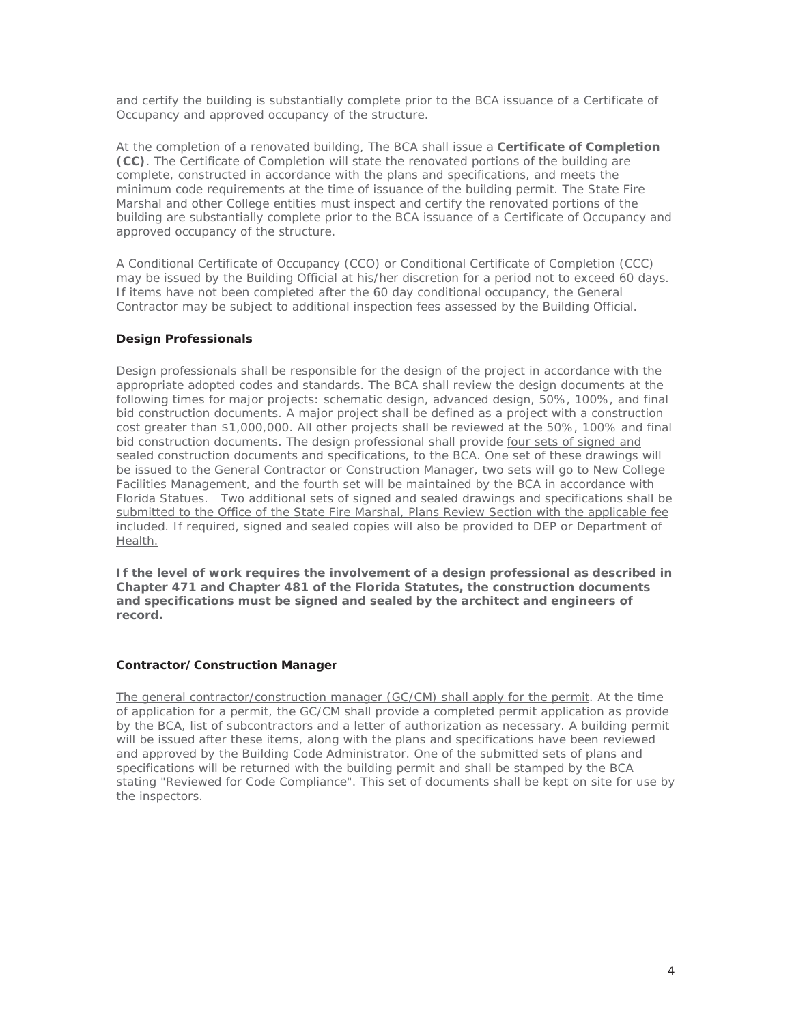and certify the building is substantially complete prior to the BCA issuance of a Certificate of Occupancy and approved occupancy of the structure.

At the completion of a renovated building, The BCA shall issue a **Certificate of Completion (CC)**. The Certificate of Completion will state the renovated portions of the building are complete, constructed in accordance with the plans and specifications, and meets the minimum code requirements at the time of issuance of the building permit. The State Fire Marshal and other College entities must inspect and certify the renovated portions of the building are substantially complete prior to the BCA issuance of a Certificate of Occupancy and approved occupancy of the structure.

A Conditional Certificate of Occupancy (CCO) or Conditional Certificate of Completion (CCC) may be issued by the Building Official at his/her discretion for a period not to exceed 60 days. If items have not been completed after the 60 day conditional occupancy, the General Contractor may be subject to additional inspection fees assessed by the Building Official.

#### **Design Professionals**

Design professionals shall be responsible for the design of the project in accordance with the appropriate adopted codes and standards. The BCA shall review the design documents at the following times for major projects: schematic design, advanced design, 50%, 100%, and final bid construction documents. A major project shall be defined as a project with a construction cost greater than \$1,000,000. All other projects shall be reviewed at the 50%, 100% and final bid construction documents. The design professional shall provide *four sets of signed and sealed construction documents and specifications*, to the BCA. One set of these drawings will be issued to the General Contractor or Construction Manager, two sets will go to New College Facilities Management, and the fourth set will be maintained by the BCA in accordance with Florida Statues. *Two additional sets of signed and sealed drawings and specifications shall be submitted to the Office of the State Fire Marshal, Plans Review Section with the applicable fee included. If required, signed and sealed copies will also be provided to DEP or Department of Health.*

*If the level of work requires the involvement of a design professional as described in Chapter 471 and Chapter 481 of the Florida Statutes, the construction documents and specifications must be signed and sealed by the architect and engineers of record.*

#### **Contractor/Construction Manager**

*The general contractor/construction manager (GC/CM) shall apply for the permit*. At the time of application for a permit, the GC/CM shall provide a completed permit application as provide by the BCA, list of subcontractors and a letter of authorization as necessary. A building permit will be issued after these items, along with the plans and specifications have been reviewed and approved by the Building Code Administrator. One of the submitted sets of plans and specifications will be returned with the building permit and shall be stamped by the BCA stating "*Reviewed for Code Compliance*". This set of documents shall be kept on site for use by the inspectors.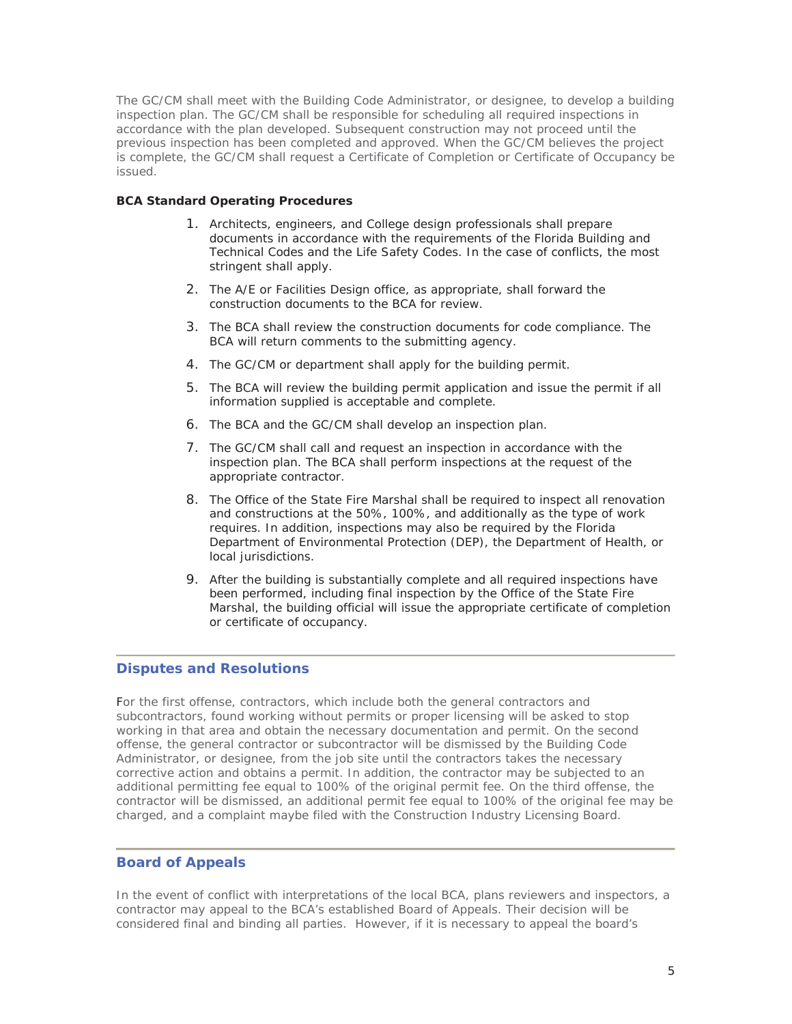The GC/CM shall meet with the Building Code Administrator, or designee, to develop a building inspection plan. The GC/CM shall be responsible for scheduling all required inspections in accordance with the plan developed. Subsequent construction may not proceed until the previous inspection has been completed and approved. When the GC/CM believes the project is complete, the GC/CM shall request a *Certificate of Completion* or *Certificate of Occupancy* be issued.

#### **BCA Standard Operating Procedures**

- 1. Architects, engineers, and College design professionals shall prepare documents in accordance with the requirements of the Florida Building and Technical Codes and the Life Safety Codes. In the case of conflicts, the most stringent shall apply.
- 2. The A/E or Facilities Design office, as appropriate, shall forward the construction documents to the BCA for review.
- 3. The BCA shall review the construction documents for code compliance. The BCA will return comments to the submitting agency.
- 4. The GC/CM or department shall apply for the building permit.
- 5. The BCA will review the building permit application and issue the permit if all information supplied is acceptable and complete.
- 6. The BCA and the GC/CM shall develop an inspection plan.
- 7. The GC/CM shall call and request an inspection in accordance with the inspection plan. The BCA shall perform inspections at the request of the appropriate contractor.
- 8. The Office of the State Fire Marshal shall be required to inspect all renovation and constructions at the 50%, 100%, and additionally as the type of work requires. In addition, inspections may also be required by the Florida Department of Environmental Protection (DEP), the Department of Health, or local jurisdictions.
- 9. After the building is substantially complete and all required inspections have been performed, including final inspection by the Office of the State Fire Marshal, the building official will issue the appropriate certificate of completion or certificate of occupancy.

#### **Disputes and Resolutions**

For the first offense, contractors, which include both the general contractors and subcontractors, found working without permits or proper licensing will be asked to stop working in that area and obtain the necessary documentation and permit. On the second offense, the general contractor or subcontractor will be dismissed by the Building Code Administrator, or designee, from the job site until the contractors takes the necessary corrective action and obtains a permit. In addition, the contractor may be subjected to an additional permitting fee equal to 100% of the original permit fee. On the third offense, the contractor will be dismissed, an additional permit fee equal to 100% of the original fee may be charged, and a complaint maybe filed with the Construction Industry Licensing Board.

### **Board of Appeals**

In the event of conflict with interpretations of the local BCA, plans reviewers and inspectors, a contractor may appeal to the BCA's established Board of Appeals. Their decision will be considered final and binding all parties. However, if it is necessary to appeal the board's